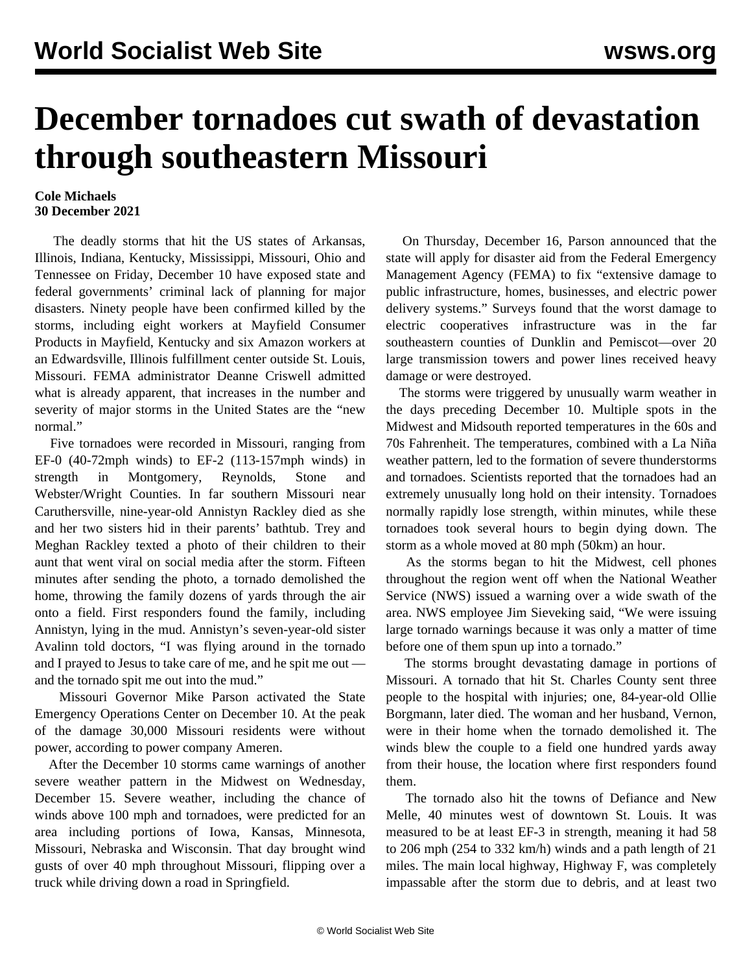## **December tornadoes cut swath of devastation through southeastern Missouri**

## **Cole Michaels 30 December 2021**

 The deadly storms that hit the US states of Arkansas, Illinois, Indiana, Kentucky, Mississippi, Missouri, Ohio and Tennessee on Friday, December 10 have exposed state and federal governments' criminal lack of planning for major disasters. Ninety people have been confirmed killed by the storms, including eight workers at Mayfield Consumer Products in Mayfield, Kentucky and six Amazon workers at an Edwardsville, Illinois fulfillment center outside St. Louis, Missouri. FEMA administrator Deanne Criswell admitted what is already apparent, that increases in the number and severity of major storms in the United States are the "new normal."

 Five tornadoes were recorded in Missouri, ranging from EF-0 (40-72mph winds) to EF-2 (113-157mph winds) in strength in Montgomery, Reynolds, Stone and Webster/Wright Counties. In far southern Missouri near Caruthersville, nine-year-old Annistyn Rackley died as she and her two sisters hid in their parents' bathtub. Trey and Meghan Rackley texted a photo of their children to their aunt that went viral on social media after the storm. Fifteen minutes after sending the photo, a tornado demolished the home, throwing the family dozens of yards through the air onto a field. First responders found the family, including Annistyn, lying in the mud. Annistyn's seven-year-old sister Avalinn told doctors, "I was flying around in the tornado and I prayed to Jesus to take care of me, and he spit me out and the tornado spit me out into the mud."

 Missouri Governor Mike Parson activated the State Emergency Operations Center on December 10. At the peak of the damage 30,000 Missouri residents were without power, according to power company Ameren.

 After the December 10 storms came warnings of another severe weather pattern in the Midwest on Wednesday, December 15. Severe weather, including the chance of winds above 100 mph and tornadoes, were predicted for an area including portions of Iowa, Kansas, Minnesota, Missouri, Nebraska and Wisconsin. That day brought wind gusts of over 40 mph throughout Missouri, flipping over a truck while driving down a road in Springfield.

 On Thursday, December 16, Parson announced that the state will apply for disaster aid from the Federal Emergency Management Agency (FEMA) to fix "extensive damage to public infrastructure, homes, businesses, and electric power delivery systems." Surveys found that the worst damage to electric cooperatives infrastructure was in the far southeastern counties of Dunklin and Pemiscot—over 20 large transmission towers and power lines received heavy damage or were destroyed.

 The storms were triggered by unusually warm weather in the days preceding December 10. Multiple spots in the Midwest and Midsouth reported temperatures in the 60s and 70s Fahrenheit. The temperatures, combined with a La Niña weather pattern, led to the formation of severe thunderstorms and tornadoes. Scientists reported that the tornadoes had an extremely unusually long hold on their intensity. Tornadoes normally rapidly lose strength, within minutes, while these tornadoes took several hours to begin dying down. The storm as a whole moved at 80 mph (50km) an hour.

 As the storms began to hit the Midwest, cell phones throughout the region went off when the National Weather Service (NWS) issued a warning over a wide swath of the area. NWS employee Jim Sieveking said, "We were issuing large tornado warnings because it was only a matter of time before one of them spun up into a tornado."

 The storms brought devastating damage in portions of Missouri. A tornado that hit St. Charles County sent three people to the hospital with injuries; one, 84-year-old Ollie Borgmann, later died. The woman and her husband, Vernon, were in their home when the tornado demolished it. The winds blew the couple to a field one hundred yards away from their house, the location where first responders found them.

 The tornado also hit the towns of Defiance and New Melle, 40 minutes west of downtown St. Louis. It was measured to be at least EF-3 in strength, meaning it had 58 to 206 mph (254 to 332 km/h) winds and a path length of 21 miles. The main local highway, Highway F, was completely impassable after the storm due to debris, and at least two